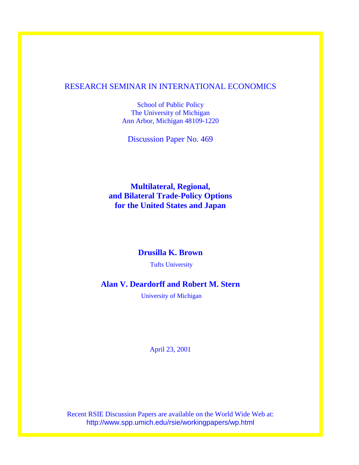# RESEARCH SEMINAR IN INTERNATIONAL ECONOMICS

School of Public Policy The University of Michigan Ann Arbor, Michigan 48109-1220

Discussion Paper No. 469

**Multilateral, Regional, and Bilateral Trade-Policy Options for the United States and Japan** 

# **Drusilla K. Brown**

Tufts University

# **Alan V. Deardorff and Robert M. Stern**

University of Michigan

April 23, 2001

Recent RSIE Discussion Papers are available on the World Wide Web at: http://www.spp.umich.edu/rsie/workingpapers/wp.html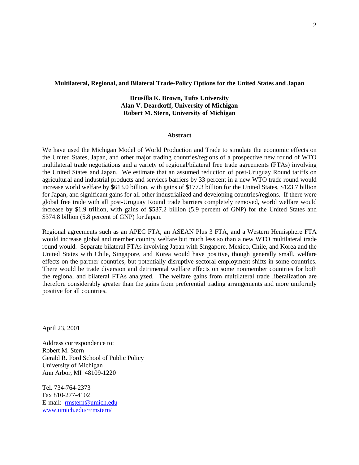### **Multilateral, Regional, and Bilateral Trade-Policy Options for the United States and Japan**

**Drusilla K. Brown, Tufts University Alan V. Deardorff, University of Michigan Robert M. Stern, University of Michigan** 

#### **Abstract**

We have used the Michigan Model of World Production and Trade to simulate the economic effects on the United States, Japan, and other major trading countries/regions of a prospective new round of WTO multilateral trade negotiations and a variety of regional/bilateral free trade agreements (FTAs) involving the United States and Japan. We estimate that an assumed reduction of post-Uruguay Round tariffs on agricultural and industrial products and services barriers by 33 percent in a new WTO trade round would increase world welfare by \$613.0 billion, with gains of \$177.3 billion for the United States, \$123.7 billion for Japan, and significant gains for all other industrialized and developing countries/regions. If there were global free trade with all post-Uruguay Round trade barriers completely removed, world welfare would increase by \$1.9 trillion, with gains of \$537.2 billion (5.9 percent of GNP) for the United States and \$374.8 billion (5.8 percent of GNP) for Japan.

Regional agreements such as an APEC FTA, an ASEAN Plus 3 FTA, and a Western Hemisphere FTA would increase global and member country welfare but much less so than a new WTO multilateral trade round would. Separate bilateral FTAs involving Japan with Singapore, Mexico, Chile, and Korea and the United States with Chile, Singapore, and Korea would have positive, though generally small, welfare effects on the partner countries, but potentially disruptive sectoral employment shifts in some countries. There would be trade diversion and detrimental welfare effects on some nonmember countries for both the regional and bilateral FTAs analyzed. The welfare gains from multilateral trade liberalization are therefore considerably greater than the gains from preferential trading arrangements and more uniformly positive for all countries.

April 23, 2001

Address correspondence to: Robert M. Stern Gerald R. Ford School of Public Policy University of Michigan Ann Arbor, MI 48109-1220

Tel. 734-764-2373 Fax 810-277-4102 E-mail: rmstern@umich.edu www.umich.edu/~rmstern/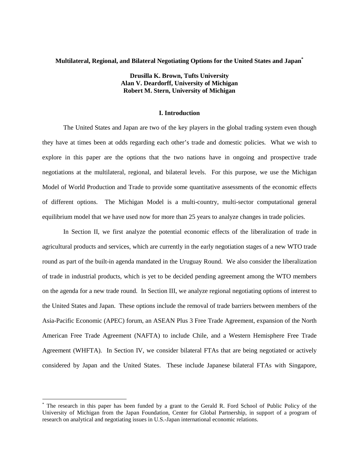### **Multilateral, Regional, and Bilateral Negotiating Options for the United States and Japan\***

### **Drusilla K. Brown, Tufts University Alan V. Deardorff, University of Michigan Robert M. Stern, University of Michigan**

### **I. Introduction**

The United States and Japan are two of the key players in the global trading system even though they have at times been at odds regarding each other's trade and domestic policies. What we wish to explore in this paper are the options that the two nations have in ongoing and prospective trade negotiations at the multilateral, regional, and bilateral levels. For this purpose, we use the Michigan Model of World Production and Trade to provide some quantitative assessments of the economic effects of different options. The Michigan Model is a multi-country, multi-sector computational general equilibrium model that we have used now for more than 25 years to analyze changes in trade policies.

In Section II, we first analyze the potential economic effects of the liberalization of trade in agricultural products and services, which are currently in the early negotiation stages of a new WTO trade round as part of the built-in agenda mandated in the Uruguay Round. We also consider the liberalization of trade in industrial products, which is yet to be decided pending agreement among the WTO members on the agenda for a new trade round. In Section III, we analyze regional negotiating options of interest to the United States and Japan. These options include the removal of trade barriers between members of the Asia-Pacific Economic (APEC) forum, an ASEAN Plus 3 Free Trade Agreement, expansion of the North American Free Trade Agreement (NAFTA) to include Chile, and a Western Hemisphere Free Trade Agreement (WHFTA). In Section IV, we consider bilateral FTAs that are being negotiated or actively considered by Japan and the United States. These include Japanese bilateral FTAs with Singapore,

 $\overline{a}$ 

<sup>\*</sup> The research in this paper has been funded by a grant to the Gerald R. Ford School of Public Policy of the University of Michigan from the Japan Foundation, Center for Global Partnership, in support of a program of research on analytical and negotiating issues in U.S.-Japan international economic relations.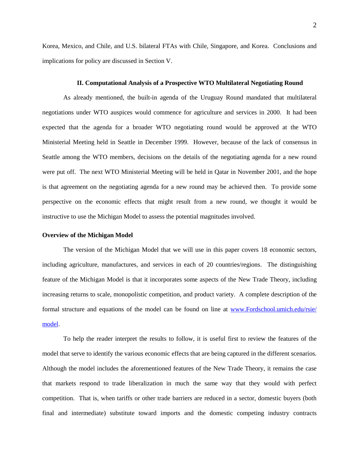Korea, Mexico, and Chile, and U.S. bilateral FTAs with Chile, Singapore, and Korea. Conclusions and implications for policy are discussed in Section V.

#### **II. Computational Analysis of a Prospective WTO Multilateral Negotiating Round**

As already mentioned, the built-in agenda of the Uruguay Round mandated that multilateral negotiations under WTO auspices would commence for agriculture and services in 2000. It had been expected that the agenda for a broader WTO negotiating round would be approved at the WTO Ministerial Meeting held in Seattle in December 1999. However, because of the lack of consensus in Seattle among the WTO members, decisions on the details of the negotiating agenda for a new round were put off. The next WTO Ministerial Meeting will be held in Oatar in November 2001, and the hope is that agreement on the negotiating agenda for a new round may be achieved then. To provide some perspective on the economic effects that might result from a new round, we thought it would be instructive to use the Michigan Model to assess the potential magnitudes involved.

### **Overview of the Michigan Model**

The version of the Michigan Model that we will use in this paper covers 18 economic sectors, including agriculture, manufactures, and services in each of 20 countries/regions. The distinguishing feature of the Michigan Model is that it incorporates some aspects of the New Trade Theory, including increasing returns to scale, monopolistic competition, and product variety. A complete description of the formal structure and equations of the model can be found on line at www.Fordschool.umich.edu/rsie/ model.

 To help the reader interpret the results to follow, it is useful first to review the features of the model that serve to identify the various economic effects that are being captured in the different scenarios. Although the model includes the aforementioned features of the New Trade Theory, it remains the case that markets respond to trade liberalization in much the same way that they would with perfect competition. That is, when tariffs or other trade barriers are reduced in a sector, domestic buyers (both final and intermediate) substitute toward imports and the domestic competing industry contracts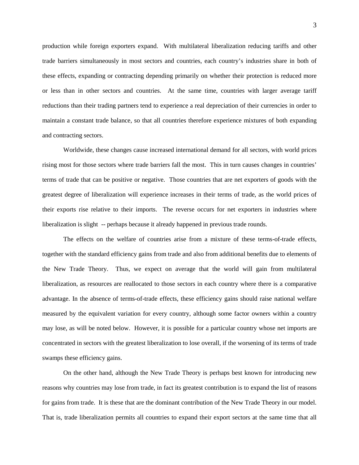production while foreign exporters expand. With multilateral liberalization reducing tariffs and other trade barriers simultaneously in most sectors and countries, each country's industries share in both of these effects, expanding or contracting depending primarily on whether their protection is reduced more or less than in other sectors and countries. At the same time, countries with larger average tariff reductions than their trading partners tend to experience a real depreciation of their currencies in order to maintain a constant trade balance, so that all countries therefore experience mixtures of both expanding and contracting sectors.

 Worldwide, these changes cause increased international demand for all sectors, with world prices rising most for those sectors where trade barriers fall the most. This in turn causes changes in countries' terms of trade that can be positive or negative. Those countries that are net exporters of goods with the greatest degree of liberalization will experience increases in their terms of trade, as the world prices of their exports rise relative to their imports. The reverse occurs for net exporters in industries where liberalization is slight -- perhaps because it already happened in previous trade rounds.

 The effects on the welfare of countries arise from a mixture of these terms-of-trade effects, together with the standard efficiency gains from trade and also from additional benefits due to elements of the New Trade Theory. Thus, we expect on average that the world will gain from multilateral liberalization, as resources are reallocated to those sectors in each country where there is a comparative advantage. In the absence of terms-of-trade effects, these efficiency gains should raise national welfare measured by the equivalent variation for every country, although some factor owners within a country may lose, as will be noted below. However, it is possible for a particular country whose net imports are concentrated in sectors with the greatest liberalization to lose overall, if the worsening of its terms of trade swamps these efficiency gains.

On the other hand, although the New Trade Theory is perhaps best known for introducing new reasons why countries may lose from trade, in fact its greatest contribution is to expand the list of reasons for gains from trade. It is these that are the dominant contribution of the New Trade Theory in our model. That is, trade liberalization permits all countries to expand their export sectors at the same time that all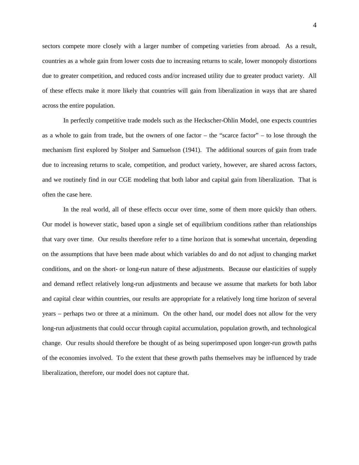sectors compete more closely with a larger number of competing varieties from abroad. As a result, countries as a whole gain from lower costs due to increasing returns to scale, lower monopoly distortions due to greater competition, and reduced costs and/or increased utility due to greater product variety. All of these effects make it more likely that countries will gain from liberalization in ways that are shared across the entire population.

 In perfectly competitive trade models such as the Heckscher-Ohlin Model, one expects countries as a whole to gain from trade, but the owners of one factor – the "scarce factor" – to lose through the mechanism first explored by Stolper and Samuelson (1941). The additional sources of gain from trade due to increasing returns to scale, competition, and product variety, however, are shared across factors, and we routinely find in our CGE modeling that both labor and capital gain from liberalization. That is often the case here.

 In the real world, all of these effects occur over time, some of them more quickly than others. Our model is however static, based upon a single set of equilibrium conditions rather than relationships that vary over time. Our results therefore refer to a time horizon that is somewhat uncertain, depending on the assumptions that have been made about which variables do and do not adjust to changing market conditions, and on the short- or long-run nature of these adjustments. Because our elasticities of supply and demand reflect relatively long-run adjustments and because we assume that markets for both labor and capital clear within countries, our results are appropriate for a relatively long time horizon of several years – perhaps two or three at a minimum. On the other hand, our model does not allow for the very long-run adjustments that could occur through capital accumulation, population growth, and technological change. Our results should therefore be thought of as being superimposed upon longer-run growth paths of the economies involved. To the extent that these growth paths themselves may be influenced by trade liberalization, therefore, our model does not capture that.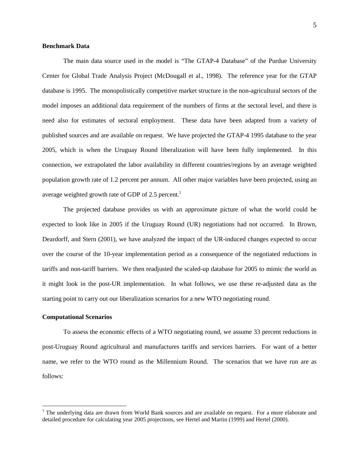#### **Benchmark Data**

The main data source used in the model is "The GTAP-4 Database" of the Purdue University Center for Global Trade Analysis Project (McDougall et al., 1998). The reference year for the GTAP database is 1995. The monopolistically competitive market structure in the non-agricultural sectors of the model imposes an additional data requirement of the numbers of firms at the sectoral level, and there is need also for estimates of sectoral employment. These data have been adapted from a variety of published sources and are available on request. We have projected the GTAP-4 1995 database to the year 2005, which is when the Uruguay Round liberalization will have been fully implemented. In this connection, we extrapolated the labor availability in different countries/regions by an average weighted population growth rate of 1.2 percent per annum. All other major variables have been projected, using an average weighted growth rate of GDP of 2.5 percent.<sup>1</sup>

 The projected database provides us with an approximate picture of what the world could be expected to look like in 2005 if the Uruguay Round (UR) negotiations had not occurred. In Brown, Deardorff, and Stern (2001), we have analyzed the impact of the UR-induced changes expected to occur over the course of the 10-year implementation period as a consequence of the negotiated reductions in tariffs and non-tariff barriers. We then readjusted the scaled-up database for 2005 to mimic the world as it might look in the post-UR implementation. In what follows, we use these re-adjusted data as the starting point to carry out our liberalization scenarios for a new WTO negotiating round.

#### **Computational Scenarios**

 $\overline{a}$ 

To assess the economic effects of a WTO negotiating round, we assume 33 percent reductions in post-Uruguay Round agricultural and manufactures tariffs and services barriers. For want of a better name, we refer to the WTO round as the Millennium Round. The scenarios that we have run are as follows:

<sup>&</sup>lt;sup>1</sup> The underlying data are drawn from World Bank sources and are available on request. For a more elaborate and detailed procedure for calculating year 2005 projections, see Hertel and Martin (1999) and Hertel (2000).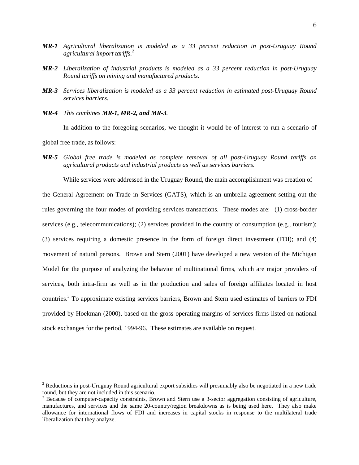- *MR-1 Agricultural liberalization is modeled as a 33 percent reduction in post-Uruguay Round agricultural import tariffs.2*
- *MR-2 Liberalization of industrial products is modeled as a 33 percent reduction in post-Uruguay Round tariffs on mining and manufactured products.*
- *MR-3 Services liberalization is modeled as a 33 percent reduction in estimated post-Uruguay Round services barriers.*
- *MR-4 This combines MR-1, MR-2, and MR-3.*

In addition to the foregoing scenarios, we thought it would be of interest to run a scenario of

global free trade, as follows:

 $\overline{a}$ 

*MR-5 Global free trade is modeled as complete removal of all post-Uruguay Round tariffs on agricultural products and industrial products as well as services barriers.* 

While services were addressed in the Uruguay Round, the main accomplishment was creation of the General Agreement on Trade in Services (GATS), which is an umbrella agreement setting out the rules governing the four modes of providing services transactions. These modes are: (1) cross-border services (e.g., telecommunications); (2) services provided in the country of consumption (e.g., tourism); (3) services requiring a domestic presence in the form of foreign direct investment (FDI); and (4) movement of natural persons. Brown and Stern (2001) have developed a new version of the Michigan Model for the purpose of analyzing the behavior of multinational firms, which are major providers of services, both intra-firm as well as in the production and sales of foreign affiliates located in host countries.<sup>3</sup> To approximate existing services barriers, Brown and Stern used estimates of barriers to FDI provided by Hoekman (2000), based on the gross operating margins of services firms listed on national stock exchanges for the period, 1994-96. These estimates are available on request.

 $2^2$  Reductions in post-Uruguay Round agricultural export subsidies will presumably also be negotiated in a new trade round, but they are not included in this scenario.

 $3$  Because of computer-capacity constraints, Brown and Stern use a 3-sector aggregation consisting of agriculture, manufactures, and services and the same 20-country/region breakdowns as is being used here. They also make allowance for international flows of FDI and increases in capital stocks in response to the multilateral trade liberalization that they analyze.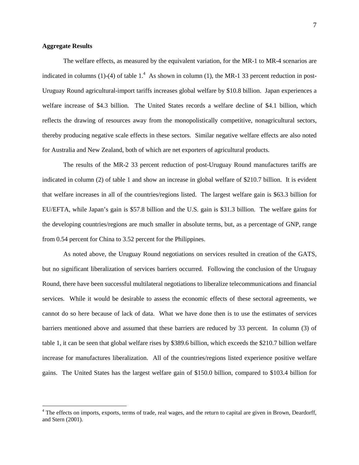#### **Aggregate Results**

The welfare effects, as measured by the equivalent variation, for the MR-1 to MR-4 scenarios are indicated in columns (1)-(4) of table  $1<sup>4</sup>$ . As shown in column (1), the MR-1 33 percent reduction in post-Uruguay Round agricultural-import tariffs increases global welfare by \$10.8 billion. Japan experiences a welfare increase of \$4.3 billion. The United States records a welfare decline of \$4.1 billion, which reflects the drawing of resources away from the monopolistically competitive, nonagricultural sectors, thereby producing negative scale effects in these sectors. Similar negative welfare effects are also noted for Australia and New Zealand, both of which are net exporters of agricultural products.

 The results of the MR-2 33 percent reduction of post-Uruguay Round manufactures tariffs are indicated in column (2) of table 1 and show an increase in global welfare of \$210.7 billion. It is evident that welfare increases in all of the countries/regions listed. The largest welfare gain is \$63.3 billion for EU/EFTA, while Japan's gain is \$57.8 billion and the U.S. gain is \$31.3 billion. The welfare gains for the developing countries/regions are much smaller in absolute terms, but, as a percentage of GNP, range from 0.54 percent for China to 3.52 percent for the Philippines.

 As noted above, the Uruguay Round negotiations on services resulted in creation of the GATS, but no significant liberalization of services barriers occurred. Following the conclusion of the Uruguay Round, there have been successful multilateral negotiations to liberalize telecommunications and financial services. While it would be desirable to assess the economic effects of these sectoral agreements, we cannot do so here because of lack of data. What we have done then is to use the estimates of services barriers mentioned above and assumed that these barriers are reduced by 33 percent. In column (3) of table 1, it can be seen that global welfare rises by \$389.6 billion, which exceeds the \$210.7 billion welfare increase for manufactures liberalization. All of the countries/regions listed experience positive welfare gains. The United States has the largest welfare gain of \$150.0 billion, compared to \$103.4 billion for

<sup>&</sup>lt;sup>4</sup> The effects on imports, exports, terms of trade, real wages, and the return to capital are given in Brown, Deardorff, and Stern (2001).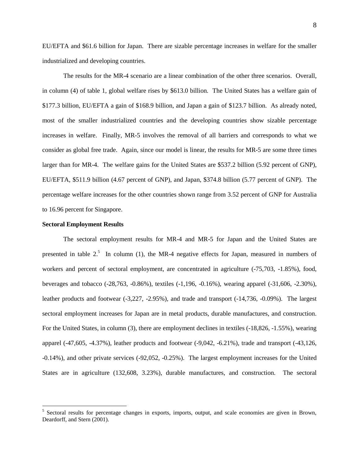EU/EFTA and \$61.6 billion for Japan. There are sizable percentage increases in welfare for the smaller industrialized and developing countries.

 The results for the MR-4 scenario are a linear combination of the other three scenarios. Overall, in column (4) of table 1, global welfare rises by \$613.0 billion. The United States has a welfare gain of \$177.3 billion, EU/EFTA a gain of \$168.9 billion, and Japan a gain of \$123.7 billion. As already noted, most of the smaller industrialized countries and the developing countries show sizable percentage increases in welfare. Finally, MR-5 involves the removal of all barriers and corresponds to what we consider as global free trade. Again, since our model is linear, the results for MR-5 are some three times larger than for MR-4. The welfare gains for the United States are \$537.2 billion (5.92 percent of GNP), EU/EFTA, \$511.9 billion (4.67 percent of GNP), and Japan, \$374.8 billion (5.77 percent of GNP). The percentage welfare increases for the other countries shown range from 3.52 percent of GNP for Australia to 16.96 percent for Singapore.

#### **Sectoral Employment Results**

The sectoral employment results for MR-4 and MR-5 for Japan and the United States are presented in table  $2<sup>5</sup>$  In column (1), the MR-4 negative effects for Japan, measured in numbers of workers and percent of sectoral employment, are concentrated in agriculture (-75,703, -1.85%), food, beverages and tobacco (-28,763, -0.86%), textiles (-1,196, -0.16%), wearing apparel (-31,606, -2.30%), leather products and footwear (-3,227, -2.95%), and trade and transport (-14,736, -0.09%). The largest sectoral employment increases for Japan are in metal products, durable manufactures, and construction. For the United States, in column (3), there are employment declines in textiles (-18,826, -1.55%), wearing apparel (-47,605, -4.37%), leather products and footwear (-9,042, -6.21%), trade and transport (-43,126, -0.14%), and other private services (-92,052, -0.25%). The largest employment increases for the United States are in agriculture (132,608, 3.23%), durable manufactures, and construction. The sectoral

<sup>&</sup>lt;sup>5</sup> Sectoral results for percentage changes in exports, imports, output, and scale economies are given in Brown, Deardorff, and Stern (2001).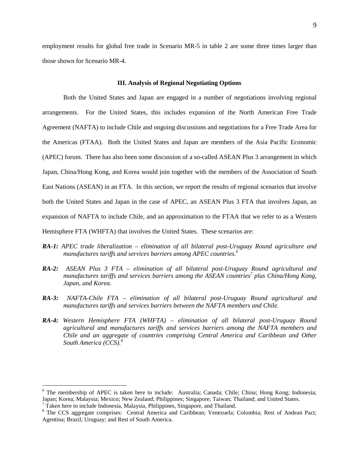employment results for global free trade in Scenario MR-5 in table 2 are some three times larger than those shown for Scenario MR-4.

#### **III. Analysis of Regional Negotiating Options**

 Both the United States and Japan are engaged in a number of negotiations involving regional arrangements. For the United States, this includes expansion of the North American Free Trade Agreement (NAFTA) to include Chile and ongoing discussions and negotiations for a Free Trade Area for the Americas (FTAA). Both the United States and Japan are members of the Asia Pacific Economic (APEC) forum. There has also been some discussion of a so-called ASEAN Plus 3 arrangement in which Japan, China/Hong Kong, and Korea would join together with the members of the Association of South East Nations (ASEAN) in an FTA. In this section, we report the results of regional scenarios that involve both the United States and Japan in the case of APEC, an ASEAN Plus 3 FTA that involves Japan, an expansion of NAFTA to include Chile, and an approximation to the FTAA that we refer to as a Western Hemisphere FTA (WHFTA) that involves the United States. These scenarios are:

- *RA-1: APEC trade liberalization elimination of all bilateral post-Uruguay Round agriculture and manufactures tariffs and services barriers among APEC countries.6*
- *RA-2: ASEAN Plus 3 FTA elimination of all bilateral post-Uruguay Round agricultural and*  manufactures tariffs and services barriers among the ASEAN countries<sup>7</sup> plus China/Hong Kong, *Japan, and Korea.*
- *RA-3: NAFTA-Chile FTA elimination of all bilateral post-Uruguay Round agricultural and manufactures tariffs and services barriers between the NAFTA members and Chile.*
- *RA-4: Western Hemisphere FTA (WHFTA) elimination of all bilateral post-Uruguay Round agricultural and manufactures tariffs and services barriers among the NAFTA members and Chile and an aggregate of countries comprising Central America and Caribbean and Other South America (CCS).8*

 $\overline{a}$ 

<sup>&</sup>lt;sup>6</sup> The membership of APEC is taken here to include: Australia; Canada; Chile; China; Hong Kong; Indonesia; Japan; Korea; Malaysia; Mexico; New Zealand; Philippines; Singapore; Taiwan; Thailand; and United States. <sup>7</sup> Taken here to include Indonesia, Malaysia, Philippines, Singapore, and Thailand.

<sup>&</sup>lt;sup>8</sup> The CCS aggregate comprises: Central America and Caribbean; Venezuela; Colombia; Rest of Andean Pact; Agentina; Brazil; Uruguay; and Rest of South America.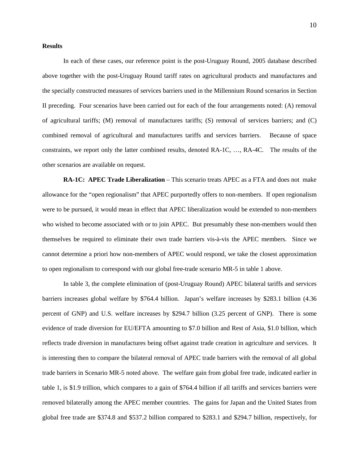#### **Results**

In each of these cases, our reference point is the post-Uruguay Round, 2005 database described above together with the post-Uruguay Round tariff rates on agricultural products and manufactures and the specially constructed measures of services barriers used in the Millennium Round scenarios in Section II preceding. Four scenarios have been carried out for each of the four arrangements noted: (A) removal of agricultural tariffs; (M) removal of manufactures tariffs; (S) removal of services barriers; and (C) combined removal of agricultural and manufactures tariffs and services barriers. Because of space constraints, we report only the latter combined results, denoted RA-1C, …, RA-4C. The results of the other scenarios are available on request.

**RA-1C: APEC Trade Liberalization** – This scenario treats APEC as a FTA and does not make allowance for the "open regionalism" that APEC purportedly offers to non-members. If open regionalism were to be pursued, it would mean in effect that APEC liberalization would be extended to non-members who wished to become associated with or to join APEC. But presumably these non-members would then themselves be required to eliminate their own trade barriers vis-à-vis the APEC members. Since we cannot determine a priori how non-members of APEC would respond, we take the closest approximation to open regionalism to correspond with our global free-trade scenario MR-5 in table 1 above.

In table 3, the complete elimination of (post-Uruguay Round) APEC bilateral tariffs and services barriers increases global welfare by \$764.4 billion. Japan's welfare increases by \$283.1 billion (4.36 percent of GNP) and U.S. welfare increases by \$294.7 billion (3.25 percent of GNP). There is some evidence of trade diversion for EU/EFTA amounting to \$7.0 billion and Rest of Asia, \$1.0 billion, which reflects trade diversion in manufactures being offset against trade creation in agriculture and services. It is interesting then to compare the bilateral removal of APEC trade barriers with the removal of all global trade barriers in Scenario MR-5 noted above. The welfare gain from global free trade, indicated earlier in table 1, is \$1.9 trillion, which compares to a gain of \$764.4 billion if all tariffs and services barriers were removed bilaterally among the APEC member countries. The gains for Japan and the United States from global free trade are \$374.8 and \$537.2 billion compared to \$283.1 and \$294.7 billion, respectively, for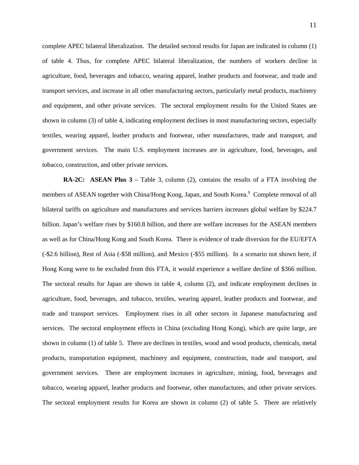complete APEC bilateral liberalization. The detailed sectoral results for Japan are indicated in column (1) of table 4. Thus, for complete APEC bilateral liberalization, the numbers of workers decline in agriculture, food, beverages and tobacco, wearing apparel, leather products and footwear, and trade and transport services, and increase in all other manufacturing sectors, particularly metal products, machinery and equipment, and other private services. The sectoral employment results for the United States are shown in column (3) of table 4, indicating employment declines in most manufacturing sectors, especially textiles, wearing apparel, leather products and footwear, other manufactures, trade and transport, and government services. The main U.S. employment increases are in agriculture, food, beverages, and tobacco, construction, and other private services.

**RA-2C: ASEAN Plus 3** – Table 3, column (2), contains the results of a FTA involving the members of ASEAN together with China/Hong Kong, Japan, and South Korea.<sup>9</sup> Complete removal of all bilateral tariffs on agriculture and manufactures and services barriers increases global welfare by \$224.7 billion. Japan's welfare rises by \$160.8 billion, and there are welfare increases for the ASEAN members as well as for China/Hong Kong and South Korea. There is evidence of trade diversion for the EU/EFTA (-\$2.6 billion), Rest of Asia (-\$58 million), and Mexico (-\$55 million). In a scenario not shown here, if Hong Kong were to be excluded from this FTA, it would experience a welfare decline of \$366 million. The sectoral results for Japan are shown in table 4, column (2), and indicate employment declines in agriculture, food, beverages, and tobacco, textiles, wearing apparel, leather products and footwear, and trade and transport services. Employment rises in all other sectors in Japanese manufacturing and services. The sectoral employment effects in China (excluding Hong Kong), which are quite large, are shown in column (1) of table 5. There are declines in textiles, wood and wood products, chemicals, metal products, transportation equipment, machinery and equipment, construction, trade and transport, and government services. There are employment increases in agriculture, mining, food, beverages and tobacco, wearing apparel, leather products and footwear, other manufactures, and other private services. The sectoral employment results for Korea are shown in column (2) of table 5. There are relatively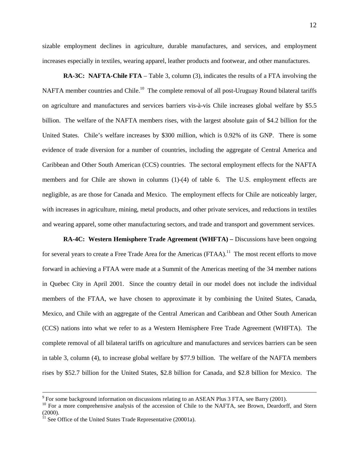sizable employment declines in agriculture, durable manufactures, and services, and employment increases especially in textiles, wearing apparel, leather products and footwear, and other manufactures.

**RA-3C: NAFTA-Chile FTA** – Table 3, column (3), indicates the results of a FTA involving the NAFTA member countries and Chile.<sup>10</sup> The complete removal of all post-Uruguay Round bilateral tariffs on agriculture and manufactures and services barriers vis-à-vis Chile increases global welfare by \$5.5 billion. The welfare of the NAFTA members rises, with the largest absolute gain of \$4.2 billion for the United States. Chile's welfare increases by \$300 million, which is 0.92% of its GNP. There is some evidence of trade diversion for a number of countries, including the aggregate of Central America and Caribbean and Other South American (CCS) countries. The sectoral employment effects for the NAFTA members and for Chile are shown in columns (1)-(4) of table 6. The U.S. employment effects are negligible, as are those for Canada and Mexico. The employment effects for Chile are noticeably larger, with increases in agriculture, mining, metal products, and other private services, and reductions in textiles and wearing apparel, some other manufacturing sectors, and trade and transport and government services.

**RA-4C: Western Hemisphere Trade Agreement (WHFTA) – Discussions have been ongoing** for several years to create a Free Trade Area for the Americas (FTAA).<sup>11</sup> The most recent efforts to move forward in achieving a FTAA were made at a Summit of the Americas meeting of the 34 member nations in Quebec City in April 2001. Since the country detail in our model does not include the individual members of the FTAA, we have chosen to approximate it by combining the United States, Canada, Mexico, and Chile with an aggregate of the Central American and Caribbean and Other South American (CCS) nations into what we refer to as a Western Hemisphere Free Trade Agreement (WHFTA). The complete removal of all bilateral tariffs on agriculture and manufactures and services barriers can be seen in table 3, column (4), to increase global welfare by \$77.9 billion. The welfare of the NAFTA members rises by \$52.7 billion for the United States, \$2.8 billion for Canada, and \$2.8 billion for Mexico. The

<sup>-&</sup>lt;br>9  $9^9$  For some background information on discussions relating to an ASEAN Plus 3 FTA, see Barry (2001).

<sup>&</sup>lt;sup>10</sup> For a more comprehensive analysis of the accession of Chile to the NAFTA, see Brown, Deardorff, and Stern (2000).

 $11$  See Office of the United States Trade Representative (20001a).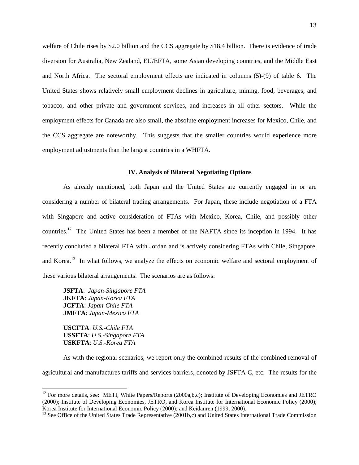welfare of Chile rises by \$2.0 billion and the CCS aggregate by \$18.4 billion. There is evidence of trade diversion for Australia, New Zealand, EU/EFTA, some Asian developing countries, and the Middle East and North Africa. The sectoral employment effects are indicated in columns (5)-(9) of table 6. The United States shows relatively small employment declines in agriculture, mining, food, beverages, and tobacco, and other private and government services, and increases in all other sectors. While the employment effects for Canada are also small, the absolute employment increases for Mexico, Chile, and the CCS aggregate are noteworthy. This suggests that the smaller countries would experience more employment adjustments than the largest countries in a WHFTA.

#### **IV. Analysis of Bilateral Negotiating Options**

 As already mentioned, both Japan and the United States are currently engaged in or are considering a number of bilateral trading arrangements. For Japan, these include negotiation of a FTA with Singapore and active consideration of FTAs with Mexico, Korea, Chile, and possibly other countries.<sup>12</sup> The United States has been a member of the NAFTA since its inception in 1994. It has recently concluded a bilateral FTA with Jordan and is actively considering FTAs with Chile, Singapore, and Korea.<sup>13</sup> In what follows, we analyze the effects on economic welfare and sectoral employment of these various bilateral arrangements. The scenarios are as follows:

**JSFTA**: *Japan-Singapore FTA* **JKFTA**: *Japan-Korea FTA*  **JCFTA**: *Japan-Chile FTA*  **JMFTA**: *Japan-Mexico FTA* 

**USCFTA**: *U.S.-Chile FTA*  **USSFTA**: *U.S.-Singapore FTA*  **USKFTA**: *U.S.-Korea FTA* 

 $\overline{a}$ 

As with the regional scenarios, we report only the combined results of the combined removal of agricultural and manufactures tariffs and services barriers, denoted by JSFTA-C, etc. The results for the

 $12$  For more details, see: METI, White Papers/Reports (2000a,b,c); Institute of Developing Economies and JETRO (2000); Institute of Developing Economies, JETRO, and Korea Institute for International Economic Policy (2000); Korea Institute for International Economic Policy (2000); and Keidanren (1999, 2000).

<sup>&</sup>lt;sup>13</sup> See Office of the United States Trade Representative (2001b,c) and United States International Trade Commission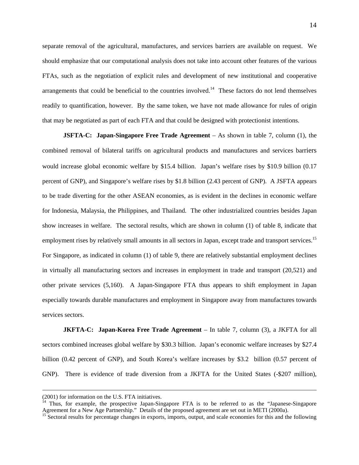separate removal of the agricultural, manufactures, and services barriers are available on request. We should emphasize that our computational analysis does not take into account other features of the various FTAs, such as the negotiation of explicit rules and development of new institutional and cooperative arrangements that could be beneficial to the countries involved.<sup>14</sup> These factors do not lend themselves readily to quantification, however. By the same token, we have not made allowance for rules of origin that may be negotiated as part of each FTA and that could be designed with protectionist intentions.

**JSFTA-C:** Japan-Singapore Free Trade Agreement – As shown in table 7, column (1), the combined removal of bilateral tariffs on agricultural products and manufactures and services barriers would increase global economic welfare by \$15.4 billion. Japan's welfare rises by \$10.9 billion (0.17 percent of GNP), and Singapore's welfare rises by \$1.8 billion (2.43 percent of GNP). A JSFTA appears to be trade diverting for the other ASEAN economies, as is evident in the declines in economic welfare for Indonesia, Malaysia, the Philippines, and Thailand. The other industrialized countries besides Japan show increases in welfare. The sectoral results, which are shown in column (1) of table 8, indicate that employment rises by relatively small amounts in all sectors in Japan, except trade and transport services.<sup>15</sup> For Singapore, as indicated in column (1) of table 9, there are relatively substantial employment declines in virtually all manufacturing sectors and increases in employment in trade and transport (20,521) and other private services (5,160). A Japan-Singapore FTA thus appears to shift employment in Japan especially towards durable manufactures and employment in Singapore away from manufactures towards services sectors.

**JKFTA-C: Japan-Korea Free Trade Agreement** – In table 7, column (3), a JKFTA for all sectors combined increases global welfare by \$30.3 billion. Japan's economic welfare increases by \$27.4 billion (0.42 percent of GNP), and South Korea's welfare increases by \$3.2 billion (0.57 percent of GNP). There is evidence of trade diversion from a JKFTA for the United States (-\$207 million),

 <sup>(2001)</sup> for information on the U.S. FTA initiatives.

<sup>&</sup>lt;sup>14</sup> Thus, for example, the prospective Japan-Singapore FTA is to be referred to as the "Japanese-Singapore Agreement for a New Age Partnership." Details of the proposed agreement are set out in METI (2000a).

 $^{15}$  Sectoral results for percentage changes in exports, imports, output, and scale economies for this and the following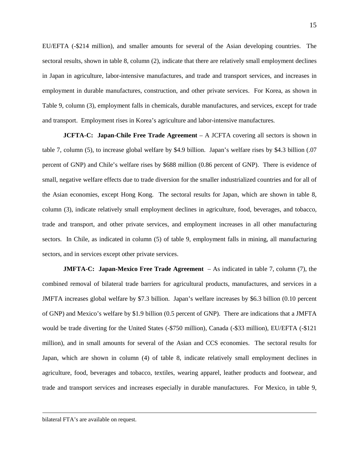EU/EFTA (-\$214 million), and smaller amounts for several of the Asian developing countries. The sectoral results, shown in table 8, column (2), indicate that there are relatively small employment declines in Japan in agriculture, labor-intensive manufactures, and trade and transport services, and increases in employment in durable manufactures, construction, and other private services. For Korea, as shown in Table 9, column (3), employment falls in chemicals, durable manufactures, and services, except for trade and transport. Employment rises in Korea's agriculture and labor-intensive manufactures.

**JCFTA-C: Japan**-**Chile Free Trade Agreement** – A JCFTA covering all sectors is shown in table 7, column (5), to increase global welfare by \$4.9 billion. Japan's welfare rises by \$4.3 billion (.07 percent of GNP) and Chile's welfare rises by \$688 million (0.86 percent of GNP). There is evidence of small, negative welfare effects due to trade diversion for the smaller industrialized countries and for all of the Asian economies, except Hong Kong. The sectoral results for Japan, which are shown in table 8, column (3), indicate relatively small employment declines in agriculture, food, beverages, and tobacco, trade and transport, and other private services, and employment increases in all other manufacturing sectors. In Chile, as indicated in column (5) of table 9, employment falls in mining, all manufacturing sectors, and in services except other private services.

**JMFTA-C: Japan-Mexico Free Trade Agreement** – As indicated in table 7, column (7), the combined removal of bilateral trade barriers for agricultural products, manufactures, and services in a JMFTA increases global welfare by \$7.3 billion. Japan's welfare increases by \$6.3 billion (0.10 percent of GNP) and Mexico's welfare by \$1.9 billion (0.5 percent of GNP). There are indications that a JMFTA would be trade diverting for the United States (-\$750 million), Canada (-\$33 million), EU/EFTA (-\$121 million), and in small amounts for several of the Asian and CCS economies. The sectoral results for Japan, which are shown in column (4) of table 8, indicate relatively small employment declines in agriculture, food, beverages and tobacco, textiles, wearing apparel, leather products and footwear, and trade and transport services and increases especially in durable manufactures. For Mexico, in table 9,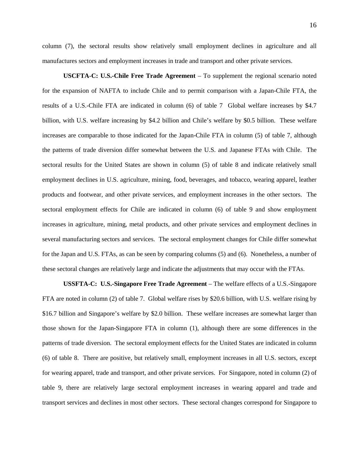column (7), the sectoral results show relatively small employment declines in agriculture and all manufactures sectors and employment increases in trade and transport and other private services.

**USCFTA-C: U.S.-Chile Free Trade Agreement** – To supplement the regional scenario noted for the expansion of NAFTA to include Chile and to permit comparison with a Japan-Chile FTA, the results of a U.S.-Chile FTA are indicated in column (6) of table 7 Global welfare increases by \$4.7 billion, with U.S. welfare increasing by \$4.2 billion and Chile's welfare by \$0.5 billion. These welfare increases are comparable to those indicated for the Japan-Chile FTA in column (5) of table 7, although the patterns of trade diversion differ somewhat between the U.S. and Japanese FTAs with Chile. The sectoral results for the United States are shown in column (5) of table 8 and indicate relatively small employment declines in U.S. agriculture, mining, food, beverages, and tobacco, wearing apparel, leather products and footwear, and other private services, and employment increases in the other sectors. The sectoral employment effects for Chile are indicated in column (6) of table 9 and show employment increases in agriculture, mining, metal products, and other private services and employment declines in several manufacturing sectors and services. The sectoral employment changes for Chile differ somewhat for the Japan and U.S. FTAs, as can be seen by comparing columns (5) and (6). Nonetheless, a number of these sectoral changes are relatively large and indicate the adjustments that may occur with the FTAs.

**USSFTA-C: U.S.-Singapore Free Trade Agreement** – The welfare effects of a U.S.-Singapore FTA are noted in column (2) of table 7. Global welfare rises by \$20.6 billion, with U.S. welfare rising by \$16.7 billion and Singapore's welfare by \$2.0 billion. These welfare increases are somewhat larger than those shown for the Japan-Singapore FTA in column (1), although there are some differences in the patterns of trade diversion. The sectoral employment effects for the United States are indicated in column (6) of table 8. There are positive, but relatively small, employment increases in all U.S. sectors, except for wearing apparel, trade and transport, and other private services. For Singapore, noted in column (2) of table 9, there are relatively large sectoral employment increases in wearing apparel and trade and transport services and declines in most other sectors. These sectoral changes correspond for Singapore to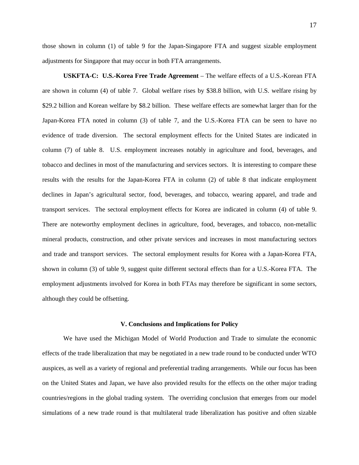those shown in column (1) of table 9 for the Japan-Singapore FTA and suggest sizable employment adjustments for Singapore that may occur in both FTA arrangements.

**USKFTA-C: U.S.-Korea Free Trade Agreement** – The welfare effects of a U.S.-Korean FTA are shown in column (4) of table 7. Global welfare rises by \$38.8 billion, with U.S. welfare rising by \$29.2 billion and Korean welfare by \$8.2 billion. These welfare effects are somewhat larger than for the Japan-Korea FTA noted in column (3) of table 7, and the U.S.-Korea FTA can be seen to have no evidence of trade diversion. The sectoral employment effects for the United States are indicated in column (7) of table 8. U.S. employment increases notably in agriculture and food, beverages, and tobacco and declines in most of the manufacturing and services sectors. It is interesting to compare these results with the results for the Japan-Korea FTA in column (2) of table 8 that indicate employment declines in Japan's agricultural sector, food, beverages, and tobacco, wearing apparel, and trade and transport services. The sectoral employment effects for Korea are indicated in column (4) of table 9. There are noteworthy employment declines in agriculture, food, beverages, and tobacco, non-metallic mineral products, construction, and other private services and increases in most manufacturing sectors and trade and transport services. The sectoral employment results for Korea with a Japan-Korea FTA, shown in column (3) of table 9, suggest quite different sectoral effects than for a U.S.-Korea FTA. The employment adjustments involved for Korea in both FTAs may therefore be significant in some sectors, although they could be offsetting.

#### **V. Conclusions and Implications for Policy**

 We have used the Michigan Model of World Production and Trade to simulate the economic effects of the trade liberalization that may be negotiated in a new trade round to be conducted under WTO auspices, as well as a variety of regional and preferential trading arrangements. While our focus has been on the United States and Japan, we have also provided results for the effects on the other major trading countries/regions in the global trading system. The overriding conclusion that emerges from our model simulations of a new trade round is that multilateral trade liberalization has positive and often sizable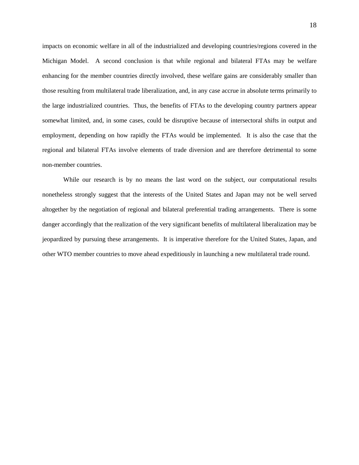impacts on economic welfare in all of the industrialized and developing countries/regions covered in the Michigan Model. A second conclusion is that while regional and bilateral FTAs may be welfare enhancing for the member countries directly involved, these welfare gains are considerably smaller than those resulting from multilateral trade liberalization, and, in any case accrue in absolute terms primarily to the large industrialized countries. Thus, the benefits of FTAs to the developing country partners appear somewhat limited, and, in some cases, could be disruptive because of intersectoral shifts in output and employment, depending on how rapidly the FTAs would be implemented. It is also the case that the regional and bilateral FTAs involve elements of trade diversion and are therefore detrimental to some non-member countries.

 While our research is by no means the last word on the subject, our computational results nonetheless strongly suggest that the interests of the United States and Japan may not be well served altogether by the negotiation of regional and bilateral preferential trading arrangements. There is some danger accordingly that the realization of the very significant benefits of multilateral liberalization may be jeopardized by pursuing these arrangements. It is imperative therefore for the United States, Japan, and other WTO member countries to move ahead expeditiously in launching a new multilateral trade round.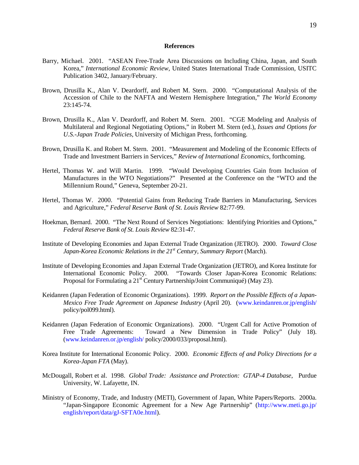#### **References**

- Barry, Michael. 2001. "ASEAN Free-Trade Area Discussions on Including China, Japan, and South Korea," *International Economic Review*, United States International Trade Commission, USITC Publication 3402, January/February.
- Brown, Drusilla K., Alan V. Deardorff, and Robert M. Stern. 2000. "Computational Analysis of the Accession of Chile to the NAFTA and Western Hemisphere Integration," *The World Economy* 23:145-74.
- Brown, Drusilla K., Alan V. Deardorff, and Robert M. Stern. 2001. "CGE Modeling and Analysis of Multilateral and Regional Negotiating Options," in Robert M. Stern (ed.), *Issues and Options for U.S.-Japan Trade Policies*, University of Michigan Press, forthcoming.
- Brown, Drusilla K. and Robert M. Stern. 2001. "Measurement and Modeling of the Economic Effects of Trade and Investment Barriers in Services," *Review of International Economics*, forthcoming.
- Hertel, Thomas W. and Will Martin. 1999. "Would Developing Countries Gain from Inclusion of Manufactures in the WTO Negotiations?" Presented at the Conference on the "WTO and the Millennium Round," Geneva, September 20-21.
- Hertel, Thomas W. 2000. "Potential Gains from Reducing Trade Barriers in Manufacturing, Services and Agriculture," *Federal Reserve Bank of St. Louis Review* 82:77-99.
- Hoekman, Bernard. 2000. "The Next Round of Services Negotiations: Identifying Priorities and Options," *Federal Reserve Bank of St. Louis Review* 82:31-47.
- Institute of Developing Economies and Japan External Trade Organization (JETRO). 2000. *Toward Close Japan-Korea Economic Relations in the 21st Century, Summary Report* (March).
- Institute of Developing Economies and Japan External Trade Organization (JETRO), and Korea Institute for International Economic Policy. 2000. "Towards Closer Japan-Korea Economic Relations: Proposal for Formulating a  $21<sup>st</sup>$  Century Partnership/Joint Communiqué) (May 23).
- Keidanren (Japan Federation of Economic Organizations). 1999. *Report on the Possible Effects of a Japan-Mexico Free Trade Agreement on Japanese Industry* (April 20). (www.keindanren.or.jp/english/ policy/pol099.html).
- Keidanren (Japan Federation of Economic Organizations). 2000. "Urgent Call for Active Promotion of Free Trade Agreements: Toward a New Dimension in Trade Policy" (July 18). (www.keindanren.or.jp/english/ policy/2000/033/proposal.html).
- Korea Institute for International Economic Policy. 2000. *Economic Effects of and Policy Directions for a Korea-Japan FTA* (May).
- McDougall, Robert et al. 1998. *Global Trade: Assistance and Protection: GTAP-4 Database*, Purdue University, W. Lafayette, IN.
- Ministry of Economy, Trade, and Industry (METI), Government of Japan, White Papers/Reports. 2000a. "Japan-Singapore Economic Agreement for a New Age Partnership" (http://www.meti.go.jp/ english/report/data/gJ-SFTA0e.html).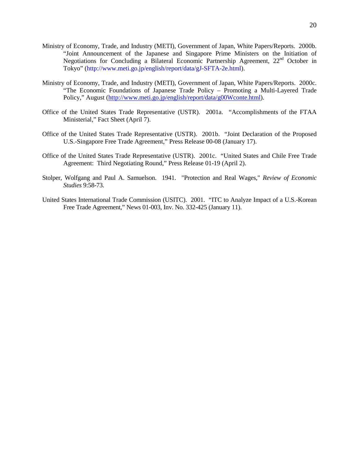- Ministry of Economy, Trade, and Industry (METI), Government of Japan, White Papers/Reports. 2000b. "Joint Announcement of the Japanese and Singapore Prime Ministers on the Initiation of Negotiations for Concluding a Bilateral Economic Partnership Agreement, 22<sup>nd</sup> October in Tokyo" (http://www.meti.go.jp/english/report/data/gJ-SFTA-2e.html).
- Ministry of Economy, Trade, and Industry (METI), Government of Japan, White Papers/Reports. 2000c. "The Economic Foundations of Japanese Trade Policy – Promoting a Multi-Layered Trade Policy," August (http://www.meti.go.jp/english/report/data/g00Wconte.html).
- Office of the United States Trade Representative (USTR). 2001a. "Accomplishments of the FTAA Ministerial," Fact Sheet (April 7).
- Office of the United States Trade Representative (USTR). 2001b. "Joint Declaration of the Proposed U.S.-Singapore Free Trade Agreement," Press Release 00-08 (January 17).
- Office of the United States Trade Representative (USTR). 2001c. "United States and Chile Free Trade Agreement: Third Negotiating Round," Press Release 01-19 (April 2).
- Stolper, Wolfgang and Paul A. Samuelson. 1941. "Protection and Real Wages," *Review of Economic Studies* 9:58-73.
- United States International Trade Commission (USITC). 2001. "ITC to Analyze Impact of a U.S.-Korean Free Trade Agreement," News 01-003, Inv. No. 332-425 (January 11).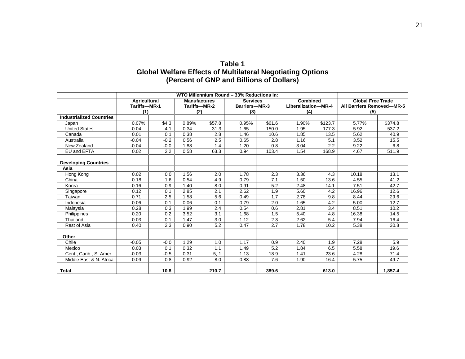| Table 1                                                           |
|-------------------------------------------------------------------|
| <b>Global Welfare Effects of Multilateral Negotiating Options</b> |
| (Percent of GNP and Billions of Dollars)                          |

|                                 |                     |        |                     | WTO Millennium Round - 33% Reductions in: |                 |        |                     |         |                           |         |  |
|---------------------------------|---------------------|--------|---------------------|-------------------------------------------|-----------------|--------|---------------------|---------|---------------------------|---------|--|
|                                 | <b>Agricultural</b> |        | <b>Manufactures</b> |                                           | <b>Services</b> |        | <b>Combined</b>     |         | <b>Global Free Trade</b>  |         |  |
|                                 | Tariffs-MR-1        |        | Tariffs-MR-2        |                                           | Barriers-MR-3   |        | Liberalization-MR-4 |         | All Barriers Removed-MR-5 |         |  |
|                                 | (1)                 |        | (2)                 |                                           | (3)             |        | (4)                 |         | (5)                       |         |  |
| <b>Industrialized Countries</b> |                     |        |                     |                                           |                 |        |                     |         |                           |         |  |
| Japan                           | 0.07%               | \$4.3  | 0.89%               | \$57.8                                    | 0.95%           | \$61.6 | 1.90%               | \$123.7 | 5.77%                     | \$374.8 |  |
| <b>United States</b>            | $-0.04$             | $-4.1$ | 0.34                | 31.3                                      | 1.65            | 150.0  | 1.95                | 177.3   | 5.92                      | 537.2   |  |
| Canada                          | 0.01                | 0.1    | 0.38                | 2.8                                       | 1.46            | 10.6   | 1.85                | 13.5    | 5.62                      | 40.9    |  |
| Australia                       | $-0.04$             | $-0.2$ | 0.56                | 2.5                                       | 0.65            | 2.8    | 1.16                | 5.1     | 3.52                      | 15.5    |  |
| New Zealand                     | $-0.04$             | $-0.0$ | 1.88                | 1.4                                       | 1.20            | 0.8    | 3.04                | 2.2     | 9.22                      | 6.8     |  |
| EU and EFTA                     | 0.02                | 2.2    | 0.58                | 63.3                                      | 0.94            | 103.4  | 1.54                | 168.9   | 4.67                      | 511.9   |  |
|                                 |                     |        |                     |                                           |                 |        |                     |         |                           |         |  |
| <b>Developing Countries</b>     |                     |        |                     |                                           |                 |        |                     |         |                           |         |  |
| Asia                            |                     |        |                     |                                           |                 |        |                     |         |                           |         |  |
| Hong Kong                       | 0.02                | 0.0    | 1.56                | 2.0                                       | 1.78            | 2.3    | 3.36                | 4.3     | 10.18                     | 13.1    |  |
| China                           | 0.18                | 1.6    | 0.54                | 4.9                                       | 0.79            | 7.1    | 1.50                | 13.6    | 4.55                      | 41.2    |  |
| Korea                           | 0.16                | 0.9    | 1.40                | 8.0                                       | 0.91            | 5.2    | 2.48                | 14.1    | 7.51                      | 42.7    |  |
| Singapore                       | 0.12                | 0.1    | 2.85                | 2.1                                       | 2.62            | 1.9    | 5.60                | 4.2     | 16.96                     | 12.6    |  |
| Taiwan                          | 0.71                | 2.5    | 1.58                | 5.6                                       | 0.49            | 1.7    | 2.78                | 9.8     | 8.44                      | 29.6    |  |
| Indonesia                       | 0.06                | 0.1    | 0.06                | 0.1                                       | 0.79            | 2.0    | 1.65                | 4.2     | 5.00                      | 12.7    |  |
| Malaysia                        | 0.28                | 0.3    | 1.99                | 2.4                                       | 0.54            | 0.6    | 2.81                | 3.4     | 8.51                      | 10.2    |  |
| Philippines                     | 0.20                | 0.2    | 3.52                | 3.1                                       | 1.68            | 1.5    | 5.40                | 4.8     | 16.38                     | 14.5    |  |
| Thailand                        | 0.03                | 0.1    | 1.47                | 3.0                                       | 1.12            | 2.3    | 2.62                | 5.4     | 7.94                      | 16.4    |  |
| Rest of Asia                    | 0.40                | 2.3    | 0.90                | 5.2                                       | 0.47            | 2.7    | 1.78                | 10.2    | 5.38                      | 30.8    |  |
|                                 |                     |        |                     |                                           |                 |        |                     |         |                           |         |  |
| Other                           |                     |        |                     |                                           |                 |        |                     |         |                           |         |  |
| Chile                           | $-0.05$             | $-0.0$ | 1.29                | 1.0                                       | 1.17            | 0.9    | 2.40                | 1.9     | 7.28                      | 5.9     |  |
| Mexico                          | 0.03                | 0.1    | 0.32                | 1.1                                       | 1.49            | 5.2    | 1.84                | 6.5     | 5.58                      | 19.6    |  |
| Cent., Carib., S. Amer.         | $-0.03$             | $-0.5$ | 0.31                | 5, 1                                      | 1.13            | 18.9   | 1.41                | 23.6    | 4.28                      | 71.4    |  |
| Middle East & N. Africa         | 0.09                | 0.8    | 0.92                | 8.0                                       | 0.88            | 7.6    | 1.90                | 16.4    | 5.75                      | 49.7    |  |
|                                 |                     |        |                     |                                           |                 |        |                     |         |                           |         |  |
| <b>Total</b>                    | 10.8                |        |                     | 210.7                                     |                 | 389.6  |                     | 613.0   |                           | 1,857.4 |  |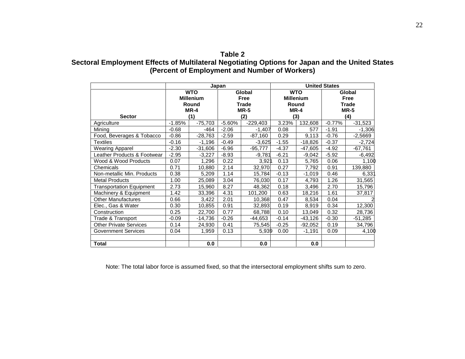# **Table 2**

# **Sectoral Employment Effects of Multilateral Negotiating Options for Japan and the United States (Percent of Employment and Number of Workers)**

|                                 |          |                  | Japan    |              | <b>United States</b> |                  |                      |           |  |  |  |
|---------------------------------|----------|------------------|----------|--------------|----------------------|------------------|----------------------|-----------|--|--|--|
|                                 |          | <b>WTO</b>       |          | Global       | <b>WTO</b>           |                  |                      | Global    |  |  |  |
|                                 |          | <b>Millenium</b> |          | Free         |                      | <b>Millenium</b> | Free<br><b>Trade</b> |           |  |  |  |
|                                 |          | Round            |          | <b>Trade</b> | Round                |                  |                      |           |  |  |  |
|                                 |          | $MR-4$           |          | <b>MR-5</b>  | $MR-4$               |                  |                      | $MR-5$    |  |  |  |
| <b>Sector</b>                   | (1)      |                  |          | (2)          |                      | (3)              | (4)                  |           |  |  |  |
| Agriculture                     | $-1.85%$ | $-75,703$        | $-5.60%$ | $-229,403$   | 3.23%                | 132,608          | $-0.77%$             | $-31,523$ |  |  |  |
| Mining                          | $-0.68$  | $-464$           | $-2.06$  | $-1,407$     | 0.08                 | 577              | $-1.91$              | $-1,306$  |  |  |  |
| Food, Beverages & Tobacco       | $-0.86$  | $-28,763$        | $-2.59$  | $-87,160$    | 0.29                 | 9,113            | $-0.76$              | $-2,5669$ |  |  |  |
| <b>Textiles</b>                 | $-0.16$  | $-1,196$         | $-0.49$  | $-3,625$     | $-1.55$              | $-18,826$        | $-0.37$              | $-2,724$  |  |  |  |
| <b>Wearing Apparel</b>          | $-2.30$  | $-31,606$        | $-6.96$  | $-95,777$    | $-4.37$              | $-47,605$        | $-4.92$              | $-67,761$ |  |  |  |
| Leather Products & Footwear     | $-2.95$  | $-3,227$         | $-8.93$  | $-9,781$     | $-6.21$              | $-9,042$         | $-5.92$              | $-6,492$  |  |  |  |
| Wood & Wood Products            | 0.07     | 1,296            | 0.22     | 3,921        | 0.13                 | 5,765            | 0.06                 | 1,100     |  |  |  |
| Chemicals                       | 0.71     | 10,880           | 2.14     | 32,970       | 0.27                 | 7,792            | 0.91                 | 139,880   |  |  |  |
| Non-metallic Min. Products      | 0.38     | 5,209            | 1.14     | 15,784       | $-0.13$              | $-1,019$         | 0.46                 | 6,331     |  |  |  |
| <b>Metal Products</b>           | 1.00     | 25,089           | 3.04     | 76,030       | 0.17                 | 4,793            | 1.26                 | 31,565    |  |  |  |
| <b>Transportation Equipment</b> | 2.73     | 15,960           | 8.27     | 48,362       | 0.18                 | 3,496            | 2.70                 | 15,796    |  |  |  |
| Machinery & Equipment           | 1.42     | 33,396           | 4.31     | 101,200      | 0.63                 | 18,216           | 1.61                 | 37,817    |  |  |  |
| <b>Other Manufactures</b>       | 0.66     | 3,422            | 2.01     | 10,368       | 0.47                 | 8,534            | 0.04                 |           |  |  |  |
| Elec., Gas & Water              | 0.30     | 10,855           | 0.91     | 32,893       | 0.19                 | 8,919            | 0.34                 | 12,300    |  |  |  |
| Construction                    | 0.25     | 22,700           | 0.77     | 68,788       | 0.10                 | 13,049           | 0.32                 | 28,736    |  |  |  |
| Trade & Transport               | $-0.09$  | -14,736          | $-0.26$  | $-44,653$    | $-0.14$              | $-43,126$        | $-0.30$              | $-51,285$ |  |  |  |
| <b>Other Private Services</b>   | 0.14     | 24,930           | 0.41     | 75,545       | $-0.25$              | $-92,052$        | 0.19                 | 34,796    |  |  |  |
| <b>Government Services</b>      | 0.04     | 1,959            | 0.13     | 5,939        | 0.00                 | $-1,191$         | 0.09                 | 4,100     |  |  |  |
|                                 |          |                  |          |              |                      |                  |                      |           |  |  |  |
| <b>Total</b>                    |          | 0.0              |          | 0.0          |                      | 0.0              |                      |           |  |  |  |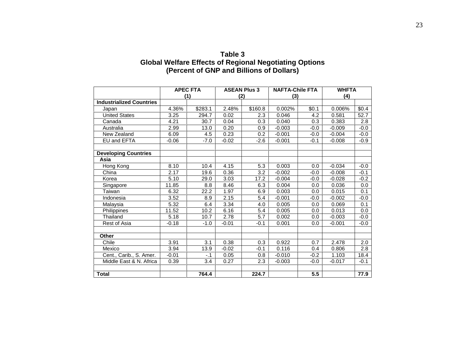### **Table 3 Global Welfare Effects of Regional Negotiating Options (Percent of GNP and Billions of Dollars)**

|                                 |         | <b>APEC FTA</b> |         | <b>ASEAN Plus 3</b> | <b>NAFTA-Chile FTA</b> |        | <b>WHFTA</b> |        |  |
|---------------------------------|---------|-----------------|---------|---------------------|------------------------|--------|--------------|--------|--|
| <b>Industrialized Countries</b> |         | (1)             |         | (2)                 | (3)                    |        | (4)          |        |  |
|                                 |         |                 |         |                     |                        |        |              |        |  |
| Japan                           | 4.36%   | \$283.1         | 2.48%   | \$160.8             | 0.002%                 | \$0.1  | 0.006%       | \$0.4  |  |
| <b>United States</b>            | 3.25    | 294.7           | 0.02    | 2.3                 | 0.046                  | 4.2    | 0.581        | 52.7   |  |
| Canada                          | 4.21    | 30.7            | 0.04    | 0.3                 | 0.040                  | 0.3    | 0.383        | 2.8    |  |
| Australia                       | 2.99    | 13.0            | 0.20    | 0.9                 | $-0.003$               | $-0.0$ | $-0.009$     | $-0.0$ |  |
| New Zealand                     | 6.09    | 4.5             | 0.23    | 0.2                 | $-0.001$               | $-0.0$ | $-0.004$     | $-0.0$ |  |
| EU and EFTA                     | $-0.06$ | $-7.0$          | $-0.02$ | $-2.6$              | $-0.001$               | $-0.1$ | $-0.008$     | $-0.9$ |  |
|                                 |         |                 |         |                     |                        |        |              |        |  |
| <b>Developing Countries</b>     |         |                 |         |                     |                        |        |              |        |  |
| Asia                            |         |                 |         |                     |                        |        |              |        |  |
| Hong Kong                       | 8.10    | 10.4            | 4.15    | 5.3                 | 0.003                  | 0.0    | $-0.034$     | $-0.0$ |  |
| China                           | 2.17    | 19.6            | 0.36    | 3.2                 | $-0.002$               | $-0.0$ | $-0.008$     | $-0.1$ |  |
| Korea                           | 5.10    | 29.0            | 3.03    | 17.2                | $-0.004$               | $-0.0$ | $-0.028$     | $-0.2$ |  |
| Singapore                       | 11.85   | 8.8             | 8.46    | 6.3                 | 0.004                  | 0.0    | 0.036        | 0.0    |  |
| Taiwan                          | 6.32    | 22.2            | 1.97    | 6.9                 | 0.003                  | 0.0    | 0.015        | 0.1    |  |
| Indonesia                       | 3.52    | 8.9             | 2.15    | 5.4                 | $-0.001$               | $-0.0$ | $-0.002$     | $-0.0$ |  |
| Malaysia                        | 5.32    | 6.4             | 3.34    | 4.0                 | 0.005                  | 0.0    | 0.069        | 0.1    |  |
| Philippines                     | 11.52   | 10.2            | 6.16    | 5.4                 | 0.005                  | 0.0    | 0.013        | 0.0    |  |
| Thailand                        | 5.18    | 10.7            | 2.78    | 5.7                 | 0.002                  | 0.0    | $-0.003$     | $-0.0$ |  |
| Rest of Asia                    | $-0.18$ | $-1.0$          | $-0.01$ | $-0.1$              | 0.001                  | 0.0    | $-0.001$     | $-0.0$ |  |
|                                 |         |                 |         |                     |                        |        |              |        |  |
| <b>Other</b>                    |         |                 |         |                     |                        |        |              |        |  |
| Chile                           | 3.91    | 3.1             | 0.38    | 0.3                 | 0.922                  | 0.7    | 2.478        | 2.0    |  |
| Mexico                          | 3.94    | 13.9            | $-0.02$ | $-0.1$              | 0.116                  | 0.4    | 0.806        | 2.8    |  |
| Cent., Carib., S. Amer.         | $-0.01$ | $-.1$           | 0.05    | 0.8                 | $-0.010$               | $-0.2$ | 1.103        | 18.4   |  |
| Middle East & N. Africa         | 0.39    | 3.4             | 0.27    | 2.3                 | $-0.003$               | $-0.0$ | $-0.017$     | $-0.1$ |  |
|                                 |         |                 |         |                     |                        |        |              |        |  |
| <b>Total</b>                    |         | 764.4           |         | 224.7               |                        | 5.5    |              | 77.9   |  |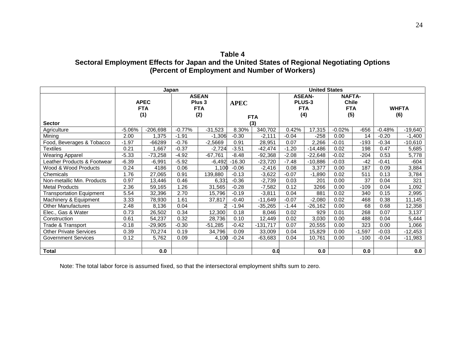## **Table 4 Sectoral Employment Effects for Japan and the United States of Regional Negotiating Options (Percent of Employment and Number of Workers)**

|                                 |                                  |            | Japan                                       |           | <b>United States</b> |            |                                       |           |                                             |          |                     |           |  |
|---------------------------------|----------------------------------|------------|---------------------------------------------|-----------|----------------------|------------|---------------------------------------|-----------|---------------------------------------------|----------|---------------------|-----------|--|
|                                 | <b>APEC</b><br><b>FTA</b><br>(1) |            | <b>ASEAN</b><br>Plus 3<br><b>FTA</b><br>(2) |           | <b>APEC</b>          |            | <b>ASEAN-</b><br>PLUS-3<br><b>FTA</b> |           | <b>NAFTA-</b><br><b>Chile</b><br><b>FTA</b> |          | <b>WHFTA</b><br>(6) |           |  |
| <b>Sector</b>                   |                                  |            |                                             |           | <b>FTA</b><br>(3)    |            | (4)                                   |           | (5)                                         |          |                     |           |  |
| Agriculture                     | $-5.06%$                         | $-206,698$ | $-0.77%$<br>$-31,523$                       |           | 340,702<br>8.30%     |            | 0.42%<br>17,315                       |           | $-0.02%$                                    | -656     | $-0.48%$            | $-19,640$ |  |
|                                 |                                  |            |                                             |           |                      |            |                                       |           | 0.00                                        | 14       |                     |           |  |
| Mining                          | 2.00                             | 1,375      | $-1.91$                                     | $-1,306$  | $-0.30$              | $-2,111$   | $-0.04$                               | $-258$    |                                             |          | $-0.20$             | $-1,400$  |  |
| Food, Beverages & Tobacco       | $-1.97$                          | -66289     | $-0.76$                                     | $-2,5669$ | 0.91                 | 28,951     | 0.07                                  | 2,266     | $-0.01$                                     | $-193$   | $-0.34$             | $-10,610$ |  |
| Textiles                        | 0.21                             | 1,667      | $-0.37$                                     | $-2,724$  | $-3.51$              | $-42,474$  | $-1.20$                               | $-14,486$ | 0.02                                        | 198      | 0.47                | 5,685     |  |
| <b>Wearing Apparel</b>          | $-5.33$                          | $-73,258$  | $-4.92$                                     | $-67,761$ | $-8.48$              | $-92,368$  | $-2.08$                               | $-22,648$ | $-0.02$                                     | $-204$   | 0.53                | 5,778     |  |
| Leather Products & Footwear     | $-6.39$                          | $-6,991$   | $-5.92$                                     | $-6,492$  | $-16.30$             | $-23,720$  | $-7.48$                               | $-10,886$ | $-0.03$                                     | $-42$    | $-0.41$             | $-604$    |  |
| Wood & Wood Products            | 0.24                             | 4186       | 0.06                                        | 1,100     | $-0.06$              | $-2,416$   | 0.08                                  | 3,377     | 0.00                                        | 187      | 0.09                | 3,884     |  |
| Chemicals                       | 1.76                             | 27,065     | 0.91                                        | 139,880   | $-0.13$              | $-3,622$   | $-0.07$                               | $-1,890$  | 0.02                                        | 511      | 0.13                | 3,784     |  |
| Non-metallic Min. Products      | 0.97                             | 13,446     | 0.46                                        | 6,331     | $-0.36$              | $-2,739$   | 0.03                                  | 201       | 0.00                                        | 37       | 0.04                | 321       |  |
| <b>Metal Products</b>           | 2.36                             | 59,165     | 1.26                                        | 31,565    | $-0.28$              | $-7,582$   | 0.12                                  | 3266      | 0.00                                        | $-109$   | 0.04                | 1,092     |  |
| <b>Transportation Equipment</b> | 5.54                             | 32,396     | 2.70                                        | 15,796    | $-0.19$              | $-3,811$   | 0.04                                  | 881       | 0.02                                        | 340      | 0.15                | 2,995     |  |
| Machinery & Equipment           | 3.33                             | 78,930     | 1.61                                        | 37,817    | $-0.40$              | $-11,649$  | $-0.07$                               | $-2,080$  | 0.02                                        | 468      | 0.38                | 11,145    |  |
| <b>Other Manufactures</b>       | 2.48                             | 8,136      | 0.04                                        |           | $-1.94$              | $-35,265$  | $-1.44$                               | $-26,162$ | 0.00                                        | 68       | 0.68                | 12,358    |  |
| Elec., Gas & Water              | 0.73                             | 26,502     | 0.34                                        | 12,300    | 0.18                 | 8,046      | 0.02                                  | 929       | 0.01                                        | 268      | 0.07                | 3,137     |  |
| Construction                    | 0.61                             | 54,237     | 0.32                                        | 28,736    | 0.10                 | 12,449     | 0.02                                  | 3,030     | 0.00                                        | 488      | 0.04                | 5,444     |  |
| Trade & Transport               | $-0.18$                          | $-29,905$  | $-0.30$                                     | $-51,285$ | $-0.42$              | $-131,717$ | 0.07                                  | 20,555    | 0.00                                        | 323      | 0.00                | 1,066     |  |
| <b>Other Private Services</b>   | 0.39                             | 70,274     | 0.19                                        | 34,796    | 0.09                 | 33,009     | 0.04                                  | 15,829    | 0.00                                        | $-1,597$ | $-0.03$             | $-12,453$ |  |
| <b>Government Services</b>      | 0.12                             | 5,762      | 0.09                                        | 4,100     | $-0.24$              | $-63,683$  | 0.04                                  | 10,761    | 0.00                                        | $-100$   | $-0.04$             | -11,983   |  |
|                                 |                                  |            |                                             |           |                      |            |                                       |           |                                             |          |                     |           |  |
| <b>Total</b>                    |                                  | 0.0        |                                             |           |                      | 0.0        |                                       | 0.0       |                                             | 0.0      |                     | 0.0       |  |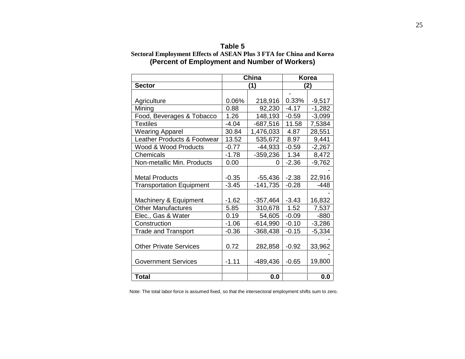| Table 5                                                                    |
|----------------------------------------------------------------------------|
| <b>Sectoral Employment Effects of ASEAN Plus 3 FTA for China and Korea</b> |
| (Percent of Employment and Number of Workers)                              |

|                                 |         | China      | <b>Korea</b> |          |  |  |
|---------------------------------|---------|------------|--------------|----------|--|--|
| <b>Sector</b>                   |         | (1)        |              | (2)      |  |  |
|                                 |         |            |              |          |  |  |
| Agriculture                     | 0.06%   | 218,916    | 0.33%        | $-9,517$ |  |  |
| Mining                          | 0.88    | 92,230     | $-4.17$      | $-1,282$ |  |  |
| Food, Beverages & Tobacco       | 1.26    | 148,193    | $-0.59$      | $-3,099$ |  |  |
| <b>Textiles</b>                 | $-4.04$ | $-687,516$ | 11.58        | 7,5384   |  |  |
| <b>Wearing Apparel</b>          | 30.84   | 1,476,033  | 4.87         | 28,551   |  |  |
| Leather Products & Footwear     | 13.52   | 535,672    | 8.97         | 9,441    |  |  |
| Wood & Wood Products            | $-0.77$ | $-44,933$  | $-0.59$      | $-2,267$ |  |  |
| Chemicals                       | $-1.78$ | $-359,236$ | 1.34         | 8,472    |  |  |
| Non-metallic Min. Products      | 0.00    | O          | $-2.36$      | $-9,762$ |  |  |
|                                 |         |            |              |          |  |  |
| <b>Metal Products</b>           | $-0.35$ | $-55,436$  | $-2.38$      | 22,916   |  |  |
| <b>Transportation Equipment</b> | $-3.45$ | $-141,735$ | $-0.28$      | $-448$   |  |  |
|                                 |         |            |              |          |  |  |
| Machinery & Equipment           | $-1.62$ | $-357,464$ | $-3.43$      | 16,832   |  |  |
| <b>Other Manufactures</b>       | 5.85    | 310,678    | 1.52         | 7,537    |  |  |
| Elec., Gas & Water              | 0.19    | 54,605     | $-0.09$      | $-880$   |  |  |
| Construction                    | $-1.06$ | $-614,990$ | $-0.10$      | $-3,286$ |  |  |
| <b>Trade and Transport</b>      | $-0.36$ | $-368,438$ | $-0.15$      | $-5,334$ |  |  |
|                                 |         |            |              |          |  |  |
| <b>Other Private Services</b>   | 0.72    | 282,858    | $-0.92$      | 33,962   |  |  |
|                                 |         |            |              |          |  |  |
| <b>Government Services</b>      | $-1.11$ | -489,436   | $-0.65$      | 19,800   |  |  |
|                                 |         |            |              |          |  |  |
| <b>Total</b>                    |         | 0.0        |              | 0.0      |  |  |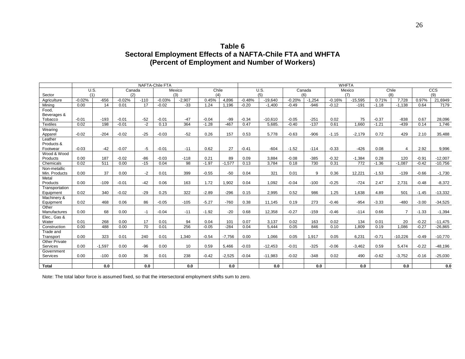| Table 6                                                    |
|------------------------------------------------------------|
| Sectoral Employment Effects of a NAFTA-Chile FTA and WHFTA |
| (Percent of Employment and Number of Workers)              |

|                      | NAFTA-Chile FTA |          |          |        |          |                 |         |          | <b>WHFTA</b> |           |          |          |          |           |         |                |         |            |
|----------------------|-----------------|----------|----------|--------|----------|-----------------|---------|----------|--------------|-----------|----------|----------|----------|-----------|---------|----------------|---------|------------|
|                      | U.S.            |          | Canada   |        |          | Mexico          | Chile   |          |              | U.S.      |          | Canada   |          | Mexico    | Chile   |                |         | <b>CCS</b> |
| Sector               | (1)             |          | (2)      |        |          | (3)             | (4)     |          |              | (5)       |          | (6)      |          | (7)       |         | (8)            |         | (9)        |
| Agriculture          | $-0.02%$        | $-656$   | $-0.02%$ | $-110$ | $-0.03%$ | $-2,907$        | 0.45%   | 4,896    | $-0.48%$     | $-19,640$ | $-0.20%$ | $-1,254$ | $-0.16%$ | $-15,595$ | 0.71%   | 7,728          | 0.97%   | 21,6949    |
| Mining               | 0.00            | 14       | 0.01     | 17     | $-0.02$  | $-33$           | 1.24    | 1.196    | $-0.20$      | $-1.400$  | $-0.49$  | $-946$   | $-0.12$  | $-191$    | $-1.18$ | $-1.138$       | 0.64    | 7179       |
| Food.                |                 |          |          |        |          |                 |         |          |              |           |          |          |          |           |         |                |         |            |
| Beverages &          |                 |          |          |        |          |                 |         |          |              |           |          |          |          |           |         |                |         |            |
| Tobacco              | $-0.01$         | $-193$   | $-0.01$  | $-52$  | $-0.01$  | $-47$           | $-0.04$ | $-99$    | $-0.34$      | $-10,610$ | $-0.05$  | $-251$   | 0.02     | 75        | $-0.37$ | $-838$         | 0.67    | 28,096     |
| <b>Textiles</b>      | 0.02            | 198      | $-0.01$  | $-2$   | 0.13     | 364             | $-1.28$ | $-467$   | 0.47         | 5.685.    | $-0.40$  | $-137$   | 0.61     | 1.660     | $-1.21$ | $-439$         | 0.14    | 1,746      |
| Wearing              |                 |          |          |        |          |                 |         |          |              |           |          |          |          |           |         |                |         |            |
| Apparel              | $-0.02$         | $-204$   | $-0.02$  | $-25$  | $-0.03$  | $-52$           | 0.26    | 157      | 0.53         | 5,778     | $-0.63$  | $-906$   | $-1.15$  | $-2,179$  | 0.72    | 429            | 2.10    | 35,488     |
| Leather              |                 |          |          |        |          |                 |         |          |              |           |          |          |          |           |         |                |         |            |
| Products &           |                 |          |          |        |          |                 |         |          |              |           |          |          |          |           |         |                |         |            |
| Footwear             | $-0.03$         | $-42$    | $-0.07$  | $-5$   | $-0.01$  | $-11$           | 0.62    | 27       | $-0.41$      | $-604$    | $-1.52$  | $-114$   | $-0.33$  | $-426$    | 0.08    | $\overline{4}$ | 2.92    | 9,996      |
| Wood & Wood          |                 |          |          |        |          |                 |         |          |              |           |          |          |          |           |         |                |         |            |
| Products             | 0.00            | 187      | $-0.02$  | $-86$  | $-0.03$  | $-118$          | 0.21    | 89       | 0.09         | 3,884     | $-0.08$  | $-385$   | $-0.32$  | $-1,384$  | 0.28    | 120            | $-0.91$ | $-12,007$  |
| Chemicals            | 0.02            | 511      | 0.00     | $-15$  | 0.04     | 98              | $-1.97$ | $-1.577$ | 0.13         | 3,784     | 0.18     | 730      | 0.31     | 772       | $-1.36$ | $-1.087$       | $-0.42$ | $-10,756$  |
| Non-metallic         |                 |          |          |        |          |                 |         |          |              |           |          |          |          |           |         |                |         |            |
| Min. Products        | 0.00            | 37       | 0.00     | $-2$   | 0.01     | 399             | $-0.55$ | $-50$    | 0.04         | 321       | 0.01     | 9        | 0.36     | 12.221    | $-1.53$ | $-139$         | $-0.66$ | $-1,730$   |
| Metal                |                 |          |          |        |          |                 |         |          |              |           |          |          |          |           |         |                |         |            |
| Products             | 0.00            | $-109$   | $-0.01$  | $-42$  | 0.06     | 163             | 1.72    | 1,902    | 0.04         | 1,092     | $-0.04$  | $-100$   | $-0.25$  | $-724$    | 2.47    | 2,731          | $-0.48$ | $-8,372$   |
| Transportation       |                 |          |          |        |          |                 |         |          |              |           |          |          |          |           |         |                |         |            |
| Equipment            | 0.02            | 340      | $-0.02$  | $-29$  | 0.25     | 322             | $-2.89$ | $-296$   | 0.15         | 2,995     | 0.52     | 986      | 1.25     | 1,638     | 4.89    | 501            | $-1.45$ | $-13,332$  |
| Machinery &          |                 |          |          |        |          |                 |         |          |              |           |          |          |          |           |         |                |         |            |
| Equipment            | 0.02            | 468      | 0.06     | 86     | $-0.05$  | $-105$          | $-5.27$ | $-760$   | 0.38         | 11.145    | 0.19     | 273      | $-0.46$  | $-954$    | $-3.33$ | $-480$         | $-3.00$ | $-34,525$  |
| Other                |                 |          |          |        |          |                 |         |          |              |           |          |          |          |           |         |                |         |            |
| Manufactures         | 0.00            | 68       | 0.00     | $-1$   | $-0.04$  | $-11$           | $-1.92$ | $-20$    | 0.68         | 12,358    | $-0.27$  | $-159$   | $-0.46$  | $-114$    | 0.66    | $\overline{7}$ | $-1.33$ | $-1,394$   |
| Elec., Gas &         |                 |          |          |        |          |                 |         |          |              |           |          |          |          |           |         |                |         |            |
| Water                | 0.01            | 268      | 0.00     | 17     | 0.01     | 94              | 0.04    | 101      | 0.07         | 3.137     | 0.02     | 163      | 0.02     | 134       | 0.01    | 20             | $-0.22$ | $-11,475$  |
| Construction         | 0.00            | 488      | 0.00     | 70     | 0.01     | 256             | $-0.05$ | $-284$   | 0.04         | 5.444     | 0.05     | 846      | 0.10     | 1.809     | 0.19    | 1.086          | $-0.27$ | $-26,865$  |
| Trade and            |                 |          |          |        |          |                 |         |          |              |           |          |          |          |           |         |                |         |            |
| Transport            | 0.00            | 323      | 0.01     | 240    | 0.01     | 1,340           | $-0.54$ | $-7,756$ | 0.00         | 1.066     | 0.05     | 1.917    | 0.05     | 6.231     | $-0.71$ | $-10.226$      | $-0.49$ | $-10,770$  |
| <b>Other Private</b> |                 |          |          |        |          |                 |         |          |              |           |          |          |          |           |         |                |         |            |
| Services             | 0.00            | $-1.597$ | 0.00     | $-96$  | 0.00     | 10 <sup>1</sup> | 0.59    | 5.466    | $-0.03$      | $-12,453$ | $-0.01$  | $-325$   | $-0.06$  | $-3.462$  | 0.59    | 5.474          | $-0.22$ | $-48,196$  |
| Government           |                 |          |          |        |          |                 |         |          |              |           |          |          |          |           |         |                |         |            |
| Services             | 0.00            | $-100$   | 0.00     | 36     | 0.01     | 238             | $-0.42$ | $-2,525$ | $-0.04$      | $-11,983$ | $-0.02$  | $-348$   | 0.02     | 490       | $-0.62$ | $-3,752$       | $-0.16$ | $-25,030$  |
|                      |                 |          |          |        |          |                 |         |          |              |           |          |          |          |           |         |                |         |            |
| <b>Total</b>         |                 | 0.0      |          | 0.0    |          | 0.0             |         | 0.0      |              | 0.0       |          | 0.0      |          | 0.0       |         | 0.0            |         | 0.0        |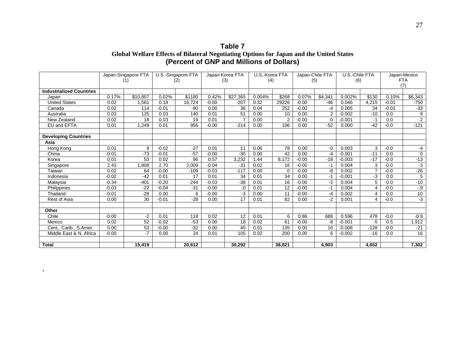**Table 7 Global Welfare Effects of Bilateral Negotiating Options for Japan and the United States (Percent of GNP and Millions of Dollars)** 

|                                 | Japan-Singapore FTA<br>(1) |          | U.S.-Singapore FTA<br>(2) |        | Japan-Korea FTA<br>(3) |                | U.S.-Korea FTA<br>(4) |          | Japan-Chile FTA<br>(5) |         | U.S.-Chile FTA<br>(6) |        | Japan-Mexico<br><b>FTA</b> |                 |
|---------------------------------|----------------------------|----------|---------------------------|--------|------------------------|----------------|-----------------------|----------|------------------------|---------|-----------------------|--------|----------------------------|-----------------|
|                                 |                            |          |                           |        |                        |                |                       |          |                        |         |                       |        |                            | (7)             |
| <b>Industrialized Countries</b> |                            |          |                           |        |                        |                |                       |          |                        |         |                       |        |                            |                 |
| Japan                           | 0.17%                      | \$10,857 | 0.02%                     | \$1180 | 0.42%                  | \$27,365       | 0.004%                | \$268    | 0.07%                  | \$4,341 | 0.002%                | \$130  | 0.10%                      | \$6,343         |
| <b>United States</b>            | 0.02                       | 1,561    | 0.18                      | 16,724 | $-0.00$                | $-207$         | 0.32                  | 29226    | $-0.00$                | $-46$   | 0.046                 | 4,215  | $-0.01$                    | $-750$          |
| Canada                          | 0.02                       | 114      | $-0.01$                   | -90    | 0.00                   | 36             | 0.04                  | 252      | $-0.00$                | $-4$    | 0.005                 | 34     | $-0.01$                    | $-33$           |
| Australia                       | 0.03                       | 125      | 0.03                      | 140    | 0.01                   | 51             | 0.00                  | 10       | 0.00                   | 2       | $-0.002$              | $-10$  | 0.0                        | 9               |
| New Zealand                     | 0.02                       | 18       | 0.03                      | 19     | 0.01                   | $\overline{7}$ | 0.00                  | 2        | $-0.00$                | -0      | $-0.001$              | $-1$   | 0.0                        | $\overline{2}$  |
| EU and EFTA                     | 0.01                       | 1,249    | 0.01                      | 956    | $-0.00$                | $-214$         | 0.00                  | 196      | 0.00                   | $-52$   | 0.000                 | $-42$  | $-0.0$                     | $-121$          |
|                                 |                            |          |                           |        |                        |                |                       |          |                        |         |                       |        |                            |                 |
| <b>Developing Countries</b>     |                            |          |                           |        |                        |                |                       |          |                        |         |                       |        |                            |                 |
| Asia                            |                            |          |                           |        |                        |                |                       |          |                        |         |                       |        |                            |                 |
| Hong Kong                       | 0.01                       | 9        | $-0.02$                   | $-27$  | 0.01                   | 11             | 0.06                  | 78       | 0.00                   | $-0$    | 0.003                 | 3      | $-0.0$                     | -4              |
| China                           | $-0.01$                    | $-73$    | $-0.01$                   | $-57$  | $-0.00$                | $-30$          | 0.00                  | 42       | 0.00                   | -4      | $-0.001$              | $-11$  | 0.0                        | $\mathbf 0$     |
| Korea                           | 0.01                       | 53       | 0.02                      | 96     | 0.57                   | 3,232          | 1.44                  | 8,172    | $-0.00$                | $-18$   | $-0.003$              | $-17$  | $-0.0$                     | $-13$           |
| Singapore                       | 2.43                       | 1,808    | 2.70                      | 2,009  | $-0.04$                | $-31$          | 0.02                  | 16       | $-0.00$                | $-1$    | 0.004                 | 3      | $-0.0$                     | $-3$            |
| Taiwan                          | 0.02                       | 64       | $-0.00$                   | $-109$ | $-0.03$                | $-117$         | 0.00                  | $\Omega$ | $-0.00$                | -8      | 0.002                 | 7      | $-0.0$                     | $\frac{-26}{5}$ |
| Indonesia                       | $-0.02$                    | $-42$    | 0.01                      | 17     | 0.01                   | 34             | 0.01                  | 34       | 0.00                   | $-1$    | $-0.001$              | $-3$   | 0.0                        |                 |
| Malaysia                        | $-0.34$                    | $-401$   | $-0.20$                   | $-244$ | $-0.03$                | $-38$          | 0.01                  | 16       | $-0.00$                | $-2$    | 0.004                 | 5      | $-0.0$                     | $-10$           |
| Philippines                     | $-0.03$                    | $-22$    | $-0.04$                   | $-31$  | $-0.00$                | -0             | 0.01                  | 12       | $-0.00$                | $-1$    | 0.004                 | 4      | $-0.0$                     | $-.9$           |
| Thailand                        | $-0.01$                    | $-28$    | 0.00                      | 6      | $-0.00$                | -3             | 0.00                  | 11       | $-0.00$                | -4      | 0.002                 | 4      | 0.0                        | 10              |
| Rest of Asia                    | 0.00                       | 30       | $-0.01$                   | $-28$  | 0.00                   | 17             | 0.01                  | 82       | 0.00                   | $-2$    | 0.001                 | 4      | $-0.0$                     | $-3$            |
|                                 |                            |          |                           |        |                        |                |                       |          |                        |         |                       |        |                            |                 |
| Other                           |                            |          |                           |        |                        |                |                       |          |                        |         |                       |        |                            |                 |
| Chile                           | $-0.00$                    | -2       | 0.01                      | 118    | 0.02                   | 12             | 0.01                  | 6        | 0.86                   | 688     | 0.596                 | 478    | $-0.0$                     | $-0.9$          |
| Mexico                          | 0.02                       | 52       | $-0.02$                   | $-53$  | 0.00                   | 18             | 0.02                  | 61       | $-0.00$                | -8      | $-0.001$              | $-5$   | 0.5                        | 1,912           |
| Cent., Carib., S.Amer.          | 0.00                       | 53       | $-0.00$                   | $-32$  | 0.00                   | 45             | 0.01                  | 135      | 0.00                   | 16      | $-0.008$              | $-128$ | $-0.0$                     | $-21$           |
| Middle East & N. Africa         | $-0.00$                    | $-7$     | 0.00                      | 24     | 0.01                   | 105            | 0.02                  | 200      | 0.00                   | 6       | $-0.002$              | $-16$  | 0.0                        | 16              |
|                                 |                            |          |                           |        |                        |                |                       |          |                        |         |                       |        |                            |                 |
| <b>Total</b>                    |                            | 15,419   |                           | 20.612 |                        | 30,292         |                       | 38,821   |                        | 4,903   |                       | 4,652  |                            | 7,302           |

 $\zeta$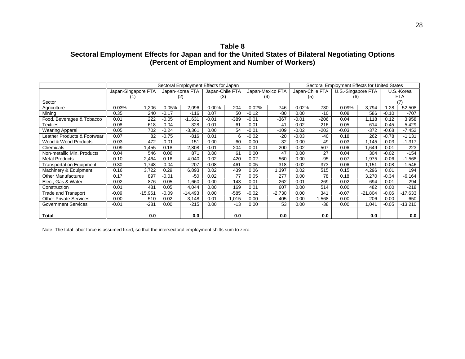**Table 8 Sectoral Employment Effects for Japan and for the United States of Bilateral Negotiating Options (Percent of Employment and Number of Workers)** 

|                                 |                     | Sectoral Employment Effects for Japan |          |                 |                 |          |                  |          |                 |          | Sectoral Employment Effects for United States |           |         |            |  |  |
|---------------------------------|---------------------|---------------------------------------|----------|-----------------|-----------------|----------|------------------|----------|-----------------|----------|-----------------------------------------------|-----------|---------|------------|--|--|
|                                 | Japan-Singapore FTA |                                       |          | Japan-Korea FTA | Japan-Chile FTA |          | Japan-Mexico FTA |          | Japan-Chile FTA |          | U.S.-Singapore FTA                            |           |         | U.S. Korea |  |  |
|                                 | (1)                 |                                       |          | (2)             | (3)             |          | (4)              |          | (5)             |          | (6)                                           |           |         | <b>FTA</b> |  |  |
| Sector                          |                     |                                       |          |                 |                 |          |                  |          |                 |          |                                               |           |         |            |  |  |
| Agriculture                     | 0.03%               | 1,206                                 | $-0.05%$ | $-2,096$        | 0.00%           | $-204$   | $-0.02%$         | $-746$   | $-0.02%$        | $-730$   | 0.09%                                         | 3,794     | 1.28    | 52,508     |  |  |
| Mining                          | 0.35                | 240                                   | $-0.17$  | $-116$          | 0.07            | 50       | $-0.12$          | $-80$    | 0.00            | $-10$    | 0.08                                          | 586       | $-0.10$ | $-707$     |  |  |
| Food, Beverages & Tobacco       | 0.01                | 222                                   | $-0.05$  | $-1,631$        | $-0.01$         | -389     | $-0.01$          | $-367$   | $-0.01$         | $-206$   | 0.04                                          | 1,118     | 0.12    | 3,958      |  |  |
| <b>Textiles</b>                 | 0.08                | 618                                   | $-0.04$  | $-328$          | 0.01            | 61       | $-0.01$          | $-41$    | 0.02            | 216      | 0.05                                          | 614       | $-0.45$ | $-5,429$   |  |  |
| <b>Wearing Apparel</b>          | 0.05                | 702                                   | $-0.24$  | $-3,361$        | 0.00            | 54       | $-0.01$          | $-109$   | $-0.02$         | $-203$   | $-0.03$                                       | $-372$    | $-0.68$ | $-7,452$   |  |  |
| Leather Products & Footwear     | 0.07                | 82                                    | $-0.75$  | $-816$          | 0.01            | 6        | $-0.02$          | $-20$    | $-0.03$         | $-40$    | 0.18                                          | 262       | $-0.78$ | $-1,131$   |  |  |
| Wood & Wood Products            | 0.03                | 472                                   | $-0.01$  | $-151$          | 0.00            | 60       | 0.00             | $-32$    | 0.00            | 49       | 0.03                                          | .145      | $-0.03$ | $-1,317$   |  |  |
| Chemicals                       | 0.09                | 1,455                                 | 0.18     | 2,808           | 0.01            | 204      | 0.01             | 200      | 0.02            | 507      | 0.06                                          | ,649      | 0.01    | 223        |  |  |
| Non-metallic Min. Products      | 0.04                | 546                                   | 0.06     | 871             | 0.00            | 61       | 0.00             | 47       | 0.00            | 27       | 0.04                                          | 304       | $-0.02$ | $-154$     |  |  |
| <b>Metal Products</b>           | 0.10                | 2,464                                 | 0.16     | 4.040           | 0.02            | 420      | 0.02             | 560      | 0.00            | $-95$    | 0.07                                          | ,975      | $-0.06$ | $-1,568$   |  |  |
| <b>Transportation Equipment</b> | 0.30                | 1,748                                 | $-0.04$  | $-207$          | 0.08            | 461      | 0.05             | 318      | 0.02            | 373      | 0.06                                          | 1,151     | $-0.08$ | $-1,546$   |  |  |
| Machinery & Equipment           | 0.16                | 3,722                                 | 0.29     | 6,893           | 0.02            | 439      | 0.06             | ,397     | 0.02            | 515      | 0.15                                          | 4,296     | 0.01    | 194        |  |  |
| <b>Other Manufactures</b>       | 0.17                | 897                                   | $-0.01$  | $-50$           | 0.02            | 77       | 0.05             | 277      | 0.00            | 78       | 0.18                                          | 3,270     | $-0.34$ | $-6,164$   |  |  |
| Elec., Gas & Water              | 0.02                | 876                                   | 0.05     | .660            | 0.00            | 143      | 0.01             | 262      | 0.01            | 269      | 0.02                                          | 694       | 0.01    | 294        |  |  |
| Construction                    | 0.01                | 481                                   | 0.05     | 4,044           | 0.00            | 169      | 0.01             | 607      | 0.00            | 514      | 0.00                                          | 482       | 0.00    | $-218$     |  |  |
| <b>Trade and Transport</b>      | $-0.09$             | $-15,961$                             | $-0.09$  | $-14,493$       | 0.00            | -585     | $-0.02$          | $-2,730$ | 0.00            | 341      | $-0.07$                                       | $-21,804$ | $-0.06$ | $-17,633$  |  |  |
| <b>Other Private Services</b>   | 0.00                | 510                                   | 0.02     | 3,148           | $-0.01$         | $-1,015$ | 0.00             | 405      | 0.00            | $-1,568$ | 0.00                                          | $-206$    | 0.00    | $-650$     |  |  |
| <b>Government Services</b>      | $-0.01$             | -281                                  | 0.00     | $-215$          | 0.00            | $-13$    | 0.00             | 53       | 0.00            | $-38$    | 0.00                                          | 1,041     | $-0.05$ | $-13,210$  |  |  |
|                                 |                     |                                       |          |                 |                 |          |                  |          |                 |          |                                               |           |         |            |  |  |
| <b>Total</b>                    |                     | 0.0                                   |          | 0.0             |                 | 0.0      |                  | 0.0      |                 | 0.0      |                                               | 0.0       |         | 0.0        |  |  |